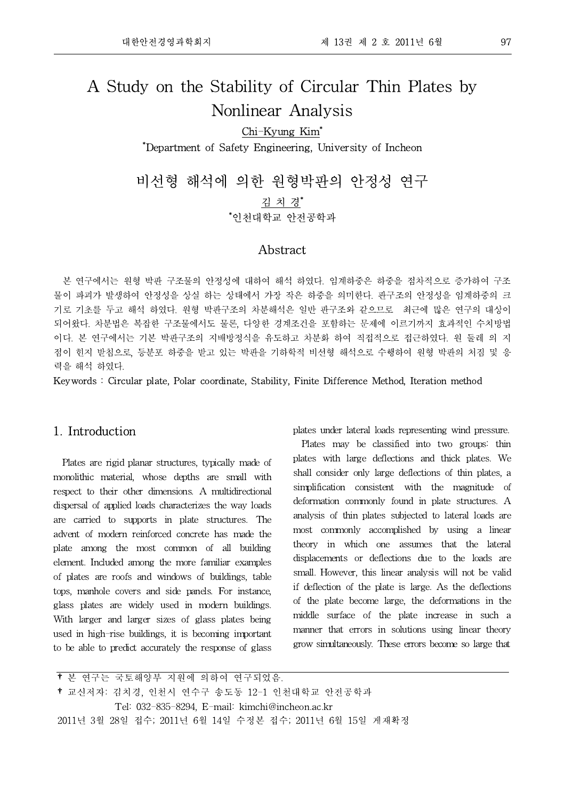# A Study on the Stability of Circular Thin Plates by Nonlinear Analysis

## Chi-Kyung Kim\* \*Department of Safety Engineering, University of Incheon

비선형 해석에 의한 원형박판의 안정성 연구 김 치 경\* \*인천대학교 안전공학과

#### Abstract

본 연구에서는 원형 박판 구조물의 안정성에 대하여 해석 하였다. 임계하중은 하중을 점차적으로 증가하여 구조 물이 파괴가 발생하여 안정성을 상실 하는 상태에서 가장 작은 하중을 의미한다. 판구조의 안정성을 임계하중의 크 기로 기초를 두고 해석 하였다. 원형 박판구조의 차분해석은 일반 판구조와 같으므로 최근에 많은 연구의 대상이 되어왔다. 차분법은 복잡한 구조물에서도 물론, 다양한 경계조건을 포함하는 문제에 이르기까지 효과적인 수치방법 이다. 본 연구에서는 기본 박판구조의 지배방정식을 유도하고 차분화 하여 직접적으로 접근하였다. 원 둘레 의 지 점이 힌지 받침으로, 등분포 하중을 받고 있는 박판을 기하학적 비선형 해석으로 수행하여 원형 박판의 처짐 및 응 력을 해석 하였다.

Keywords : Circular plate, Polar coordinate, Stability, Finite Difference Method, Iteration method

### 1. Introduction

Plates are rigid planar structures, typically made of monolithic material, whose depths are small with respect to their other dimensions. A multidirectional dispersal of applied loads characterizes the way loads are carried to supports in plate structures. The advent of modern reinforced concrete has made the plate among the most common of all building element. Included among the more familiar examples of plates are roofs and windows of buildings, table tops, manhole covers and side panels. For instance, glass plates are widely used in modern buildings. With larger and larger sizes of glass plates being used in high-rise buildings, it is becoming important to be able to predict accurately the response of glass

plates under lateral loads representing wind pressure.

Plates may be classified into two groups: thin plates with large deflections and thick plates. We shall consider only large deflections of thin plates, a simplification consistent with the magnitude of deformation commonly found in plate structures. A analysis of thin plates subjected to lateral loads are most commonly accomplished by using a linear theory in which one assumes that the lateral displacements or deflections due to the loads are small. However, this linear analysis will not be valid if deflection of the plate is large. As the deflections of the plate become large, the deformations in the middle surface of the plate increase in such a manner that errors in solutions using linear theory grow simultaneously. These errors become so large that

†본 연구는 국토해양부 지원에 의하여 연구되었음. †교신저자: 김치경, 인천시 연수구 송도동 12-1 인천대학교 안전공학과 Tel: 032-835-8294, E-mail: kimchi@incheon.ac.kr 2011년 3월 28일 접수; 2011년 6월 14일 수정본 접수; 2011년 6월 15일 게재확정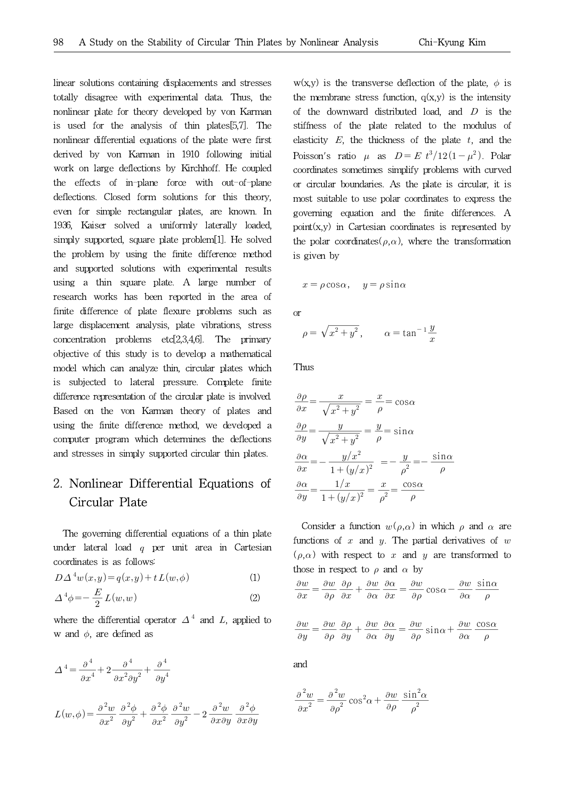linear solutions containing displacements and stresses totally disagree with experimental data. Thus, the nonlinear plate for theory developed by von Karman is used for the analysis of thin plates[5,7]. The nonlinear differential equations of the plate were first derived by von Karman in 1910 following initial work on large deflections by Kirchhoff. He coupled the effects of in-plane force with out-of-plane deflections. Closed form solutions for this theory, even for simple rectangular plates, are known. In 1936, Kaiser solved a uniformly laterally loaded, simply supported, square plate problem[1]. He solved the problem by using the finite difference method and supported solutions with experimental results using a thin square plate. A large number of research works has been reported in the area of finite difference of plate flexure problems such as large displacement analysis, plate vibrations, stress concentration problems etc[2,3,4,6]. The primary objective of this study is to develop a mathematical model which can analyze thin, circular plates which is subjected to lateral pressure. Complete finite difference representation of the circular plate is involved. Based on the von Karman theory of plates and using the finite difference method, we developed a computer program which determines the deflections and stresses in simply supported circular thin plates.

## 2. Nonlinear Differential Equations of Circular Plate

The governing differential equations of a thin plate under lateral load  $q$  per unit area in Cartesian coordinates is as follows:

$$
D\Delta^{4}w(x,y) = q(x,y) + tL(w,\phi)
$$
 (1)

$$
\Delta^4 \phi = -\frac{E}{2} L(w, w) \tag{2}
$$

where the differential operator  $\Delta^4$  and L, applied to  $\Delta^4$ 

w and 
$$
\phi
$$
, are defined as  
\n
$$
\Delta^4 = \frac{\partial^4}{\partial x^4} + 2 \frac{\partial^4}{\partial x^2 \partial y^2} + \frac{\partial^4}{\partial y^4}
$$
\n
$$
L(w, \phi) = \frac{\partial^2 w}{\partial x^2} \frac{\partial^2 \phi}{\partial y^2} + \frac{\partial^2 \phi}{\partial x^2} \frac{\partial^2 w}{\partial y^2} - 2 \frac{\partial^2 w}{\partial x \partial y} \frac{\partial^2 \phi}{\partial x \partial y}
$$

 $w(x,y)$  is the transverse deflection of the plate,  $\phi$  is the membrane stress function,  $q(x,y)$  is the intensity of the downward distributed load, and  $D$  is the stiffness of the plate related to the modulus of elasticity  $E$ , the thickness of the plate  $t$ , and the Poisson's ratio  $\mu$  as  $D = E t^3/12(1-\mu^2)$ . Polar coordinates sometimes simplify problems with curved or circular boundaries. As the plate is circular, it is most suitable to use polar coordinates to express the governing equation and the finite differences. A  $point(x,y)$  in Cartesian coordinates is represented by the polar coordinates( $\rho,\alpha$ ), where the transformation is given by

$$
x = \rho \cos \alpha
$$
,  $y = \rho \sin \alpha$ 

or

$$
x = \rho \cos \alpha, \quad y = \rho \sin \alpha
$$
  
or  

$$
\rho = \sqrt{x^2 + y^2}, \qquad \alpha = \tan^{-1} \frac{y}{x}
$$

Thus

Thus  
\n
$$
\frac{\partial \rho}{\partial x} = \frac{x}{\sqrt{x^2 + y^2}} = \frac{x}{\rho} = \cos \alpha
$$
\n
$$
\frac{\partial \rho}{\partial y} = \frac{y}{\sqrt{x^2 + y^2}} = \frac{y}{\rho} = \sin \alpha
$$
\n
$$
\frac{\partial \alpha}{\partial x} = -\frac{y/x^2}{1 + (y/x)^2} = -\frac{y}{\rho^2} = -\frac{\sin \alpha}{\rho}
$$
\n
$$
\frac{\partial \alpha}{\partial y} = \frac{1/x}{1 + (y/x)^2} = \frac{x}{\rho^2} = \frac{\cos \alpha}{\rho}
$$

Consider a function  $w(\rho,\alpha)$  in which  $\rho$  and  $\alpha$  are functions of  $x$  and  $y$ . The partial derivatives of  $w$  $(\rho,\alpha)$  with respect to x and y are transformed to those in respect to  $\rho$  and  $\alpha$  by

those in respect to 
$$
\rho
$$
 and  $\alpha$  by  
\n
$$
\frac{\partial w}{\partial x} = \frac{\partial w}{\partial \rho} \frac{\partial \rho}{\partial x} + \frac{\partial w}{\partial \alpha} \frac{\partial \alpha}{\partial x} = \frac{\partial w}{\partial \rho} \cos \alpha - \frac{\partial w}{\partial \alpha} \frac{\sin \alpha}{\rho}
$$

$$
\frac{\partial w}{\partial y} = \frac{\partial w}{\partial \rho} \frac{\partial \rho}{\partial y} + \frac{\partial w}{\partial \alpha} \frac{\partial \alpha}{\partial y} = \frac{\partial w}{\partial \rho} \sin \alpha + \frac{\partial w}{\partial \alpha} \frac{\cos \alpha}{\rho}
$$

and

and  
\n
$$
\frac{\partial^2 w}{\partial x^2} = \frac{\partial^2 w}{\partial \rho^2} \cos^2 \alpha + \frac{\partial w}{\partial \rho} \frac{\sin^2 \alpha}{\rho^2}
$$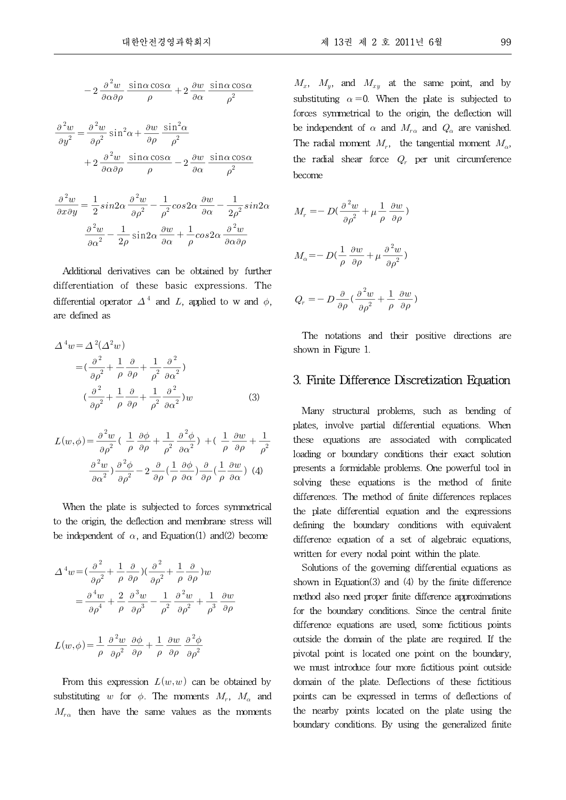\n
$$
\mathbf{u} \cdot \mathbf{v} \cdot \mathbf{v} \cdot \mathbf{v} \cdot \mathbf{v} \cdot \mathbf{v} \cdot \mathbf{v} \cdot \mathbf{v} \cdot \mathbf{v} \cdot \mathbf{v} \cdot \mathbf{v} \cdot \mathbf{v} \cdot \mathbf{v} \cdot \mathbf{v} \cdot \mathbf{v} \cdot \mathbf{v} \cdot \mathbf{v} \cdot \mathbf{v} \cdot \mathbf{v} \cdot \mathbf{v} \cdot \mathbf{v} \cdot \mathbf{v} \cdot \mathbf{v} \cdot \mathbf{v} \cdot \mathbf{v} \cdot \mathbf{v} \cdot \mathbf{v} \cdot \mathbf{v} \cdot \mathbf{v} \cdot \mathbf{v} \cdot \mathbf{v} \cdot \mathbf{v} \cdot \mathbf{v} \cdot \mathbf{v} \cdot \mathbf{v} \cdot \mathbf{v} \cdot \mathbf{v} \cdot \mathbf{v} \cdot \mathbf{v} \cdot \mathbf{v} \cdot \mathbf{v} \cdot \mathbf{v} \cdot \mathbf{v} \cdot \mathbf{v} \cdot \mathbf{v} \cdot \mathbf{v} \cdot \mathbf{v} \cdot \mathbf{v} \cdot \mathbf{v} \cdot \mathbf{v} \cdot \mathbf{v} \cdot \mathbf{v} \cdot \mathbf{v} \cdot \mathbf{v} \cdot \mathbf{v} \cdot \mathbf{v} \cdot \mathbf{v} \cdot \mathbf{v} \cdot \mathbf{v} \cdot \mathbf{v} \cdot \mathbf{v} \cdot \mathbf{v} \cdot \mathbf{v} \cdot \mathbf{v} \cdot \mathbf{v} \cdot \mathbf{v} \cdot \mathbf{v} \cdot \mathbf{v} \cdot \mathbf{v} \cdot \mathbf{v} \cdot \mathbf{v} \cdot \mathbf{v} \cdot \mathbf{v} \cdot \mathbf{v} \cdot \mathbf{v} \cdot \mathbf{v} \cdot \mathbf{v} \cdot \mathbf{v} \cdot \mathbf{v} \cdot \mathbf{v} \cdot \mathbf{v} \cdot \mathbf{v} \cdot \mathbf{v} \cdot \mathbf{v} \cdot \mathbf{v} \cdot \mathbf{v} \cdot \mathbf{v} \cdot \mathbf{v} \cdot \mathbf{v} \cdot \mathbf{v} \cdot \mathbf{v} \cdot \mathbf{v} \cdot \mathbf{v} \cdot \mathbf{v} \cdot \mathbf{v} \
$$

$$
\frac{\partial^2 w}{\partial y^2} = \frac{\partial^2 w}{\partial \rho^2} \sin^2 \alpha + \frac{\partial w}{\partial \rho} \frac{\sin^2 \alpha}{\rho^2} + 2 \frac{\partial^2 w}{\partial \alpha \partial \rho} \frac{\sin \alpha \cos \alpha}{\rho} - 2 \frac{\partial w}{\partial \alpha} \frac{\sin \alpha \cos \alpha}{\rho^2} + \frac{\partial^2 w}{\partial \alpha \partial \rho} \frac{\sin \alpha \cos \alpha}{\rho^2} + \frac{\sin \alpha \cos \alpha}{\rho^2} + \frac{\sin \alpha \cos \alpha}{\rho^2} + \frac{\sin \alpha \cos \alpha}{\rho^2} + \frac{\sin \alpha \cos \alpha}{\rho^2} + \frac{\cos \alpha}{\rho^2} + \frac{\cos \alpha}{\rho^2} + \frac{\cos \alpha}{\rho^2} + \frac{\cos \alpha}{\rho^2} + \frac{\cos \alpha}{\rho^2} + \frac{\cos \alpha}{\rho^2} + \frac{\cos \alpha}{\rho^2} + \frac{\cos \alpha}{\rho^2} + \frac{\cos \alpha}{\rho^2} + \frac{\cos \alpha}{\rho^2} + \frac{\cos \alpha}{\rho^2} + \frac{\cos \alpha}{\rho^2} + \frac{\cos \alpha}{\rho^2} + \frac{\cos \alpha}{\rho^2} + \frac{\cos \alpha}{\rho^2} + \frac{\cos \alpha}{\rho^2} + \frac{\cos \alpha}{\rho^2} + \frac{\cos \alpha}{\rho^2} + \frac{\cos \alpha}{\rho^2} + \frac{\cos \alpha}{\rho^2} + \frac{\cos \alpha}{\rho^2} + \frac{\cos \alpha}{\rho^2} + \frac{\cos \alpha}{\rho^2} + \frac{\cos \alpha}{\rho^2} + \frac{\cos \alpha}{\rho^2} + \frac{\cos \alpha}{\rho^2} + \frac{\cos \alpha}{\rho^2} + \frac{\cos \alpha}{\rho^2} + \frac{\cos \alpha}{\rho^2} + \frac{\cos \alpha}{\rho^2} + \frac{\cos \alpha}{\rho^2} + \frac{\cos \alpha}{\rho^2} + \frac{\cos \alpha}{\rho^2} + \frac{\cos \alpha}{\rho^2} + \frac{\cos \alpha}{\rho^2} + \frac{\cos \alpha}{\rho^2} + \frac{\cos \alpha}{\rho^2} + \frac{\cos \alpha}{\rho^2} + \frac{\cos \alpha}{\rho^2} + \frac{\cos \alpha}{\rho^2} + \frac{\cos \alpha}{\rho^2
$$

becor  
\n
$$
\frac{\partial^2 w}{\partial x \partial y} = \frac{1}{2} \sin 2\alpha \frac{\partial^2 w}{\partial \rho^2} - \frac{1}{\rho^2} \cos 2\alpha \frac{\partial w}{\partial \alpha} - \frac{1}{2\rho^2} \sin 2\alpha
$$
\n
$$
\frac{\partial^2 w}{\partial \alpha^2} - \frac{1}{2\rho} \sin 2\alpha \frac{\partial w}{\partial \alpha} + \frac{1}{\rho} \cos 2\alpha \frac{\partial^2 w}{\partial \alpha \partial \rho}
$$
\nbecon

Additional derivatives can be obtained by further differentiation of these basic expressions. The differential operator  $\Delta^4$  and L, applied to w and  $\phi$ , 4 are defined as

$$
\Delta^4 w = \Delta^2 (\Delta^2 w)
$$
  
=  $(\frac{\partial^2}{\partial \rho^2} + \frac{1}{\rho} \frac{\partial}{\partial \rho} + \frac{1}{\rho^2} \frac{\partial^2}{\partial \alpha^2})$   
 $(\frac{\partial^2}{\partial \rho^2} + \frac{1}{\rho} \frac{\partial}{\partial \rho} + \frac{1}{\rho^2} \frac{\partial^2}{\partial \alpha^2})w$  (3)

$$
L(w, \phi) = \frac{\partial^2 w}{\partial \rho^2} \left( \frac{1}{\rho} \frac{\partial \phi}{\partial \rho} + \frac{1}{\rho^2} \frac{\partial^2 \phi}{\partial \alpha^2} \right) + \left( \frac{1}{\rho} \frac{\partial w}{\partial \rho} + \frac{1}{\rho^2} \right)
$$

When the plate is subjected to forces symmetrical to the origin, the deflection and membrane stress will be independent of  $\alpha$ , and Equation(1) and(2) become

$$
\Delta^4 w = \left(\frac{\partial^2}{\partial \rho^2} + \frac{1}{\rho} \frac{\partial}{\partial \rho}\right) \left(\frac{\partial^2}{\partial \rho^2} + \frac{1}{\rho} \frac{\partial}{\partial \rho}\right) w
$$
  

$$
= \frac{\partial^4 w}{\partial \rho^4} + \frac{2}{\rho} \frac{\partial^3 w}{\partial \rho^3} - \frac{1}{\rho^2} \frac{\partial^2 w}{\partial \rho^2} + \frac{1}{\rho^3} \frac{\partial w}{\partial \rho}
$$
  

$$
L(w, \phi) = \frac{1}{\rho} \frac{\partial^2 w}{\partial \rho^2} \frac{\partial \phi}{\partial \rho} + \frac{1}{\rho} \frac{\partial w}{\partial \rho} \frac{\partial^2 \phi}{\partial \rho^2}
$$

From this expression  $L(w, w)$  can be obtained by substituting w for  $\phi$ . The moments  $M_r$ ,  $M_\alpha$  and poin  $M_{r\alpha}$  then have the same values as the moments the

 $M_x$ ,  $M_y$ , and  $M_{xy}$  at the same point, and by substituting  $\alpha = 0$ . When the plate is subjected to forces symmetrical to the origin, the deflection will be independent of  $\alpha$  and  $M_{r\alpha}$  and  $Q_{\alpha}$  are vanished. The radial moment  $M_r$ , the tangential moment  $M_\alpha$ , the radial shear force  $Q_r$  per unit circumference become

$$
M_r = -D\left(\frac{\partial^2 w}{\partial \rho^2} + \mu \frac{1}{\rho} \frac{\partial w}{\partial \rho}\right)
$$
  

$$
M_\alpha = -D\left(\frac{1}{\rho} \frac{\partial w}{\partial \rho} + \mu \frac{\partial^2 w}{\partial \rho^2}\right)
$$
  

$$
Q_r = -D \frac{\partial}{\partial \rho} \left(\frac{\partial^2 w}{\partial \rho^2} + \frac{1}{\rho} \frac{\partial w}{\partial \rho}\right)
$$

The notations and their positive directions are shown in Figure 1.

#### 3. Finite Difference Discretization Equation

 $\frac{1}{2}$  these equations are associated with complicated Many structural problems, such as bending of plates, involve partial differential equations. When loading or boundary conditions their exact solution presents a formidable problems. One powerful tool in solving these equations is the method of finite differences. The method of finite differences replaces the plate differential equation and the expressions defining the boundary conditions with equivalent difference equation of a set of algebraic equations, written for every nodal point within the plate.

> Solutions of the governing differential equations as shown in Equation(3) and (4) by the finite difference method also need proper finite difference approximations for the boundary conditions. Since the central finite difference equations are used, some fictitious points outside the domain of the plate are required. If the pivotal point is located one point on the boundary, we must introduce four more fictitious point outside domain of the plate. Deflections of these fictitious points can be expressed in terms of deflections of the nearby points located on the plate using the boundary conditions. By using the generalized finite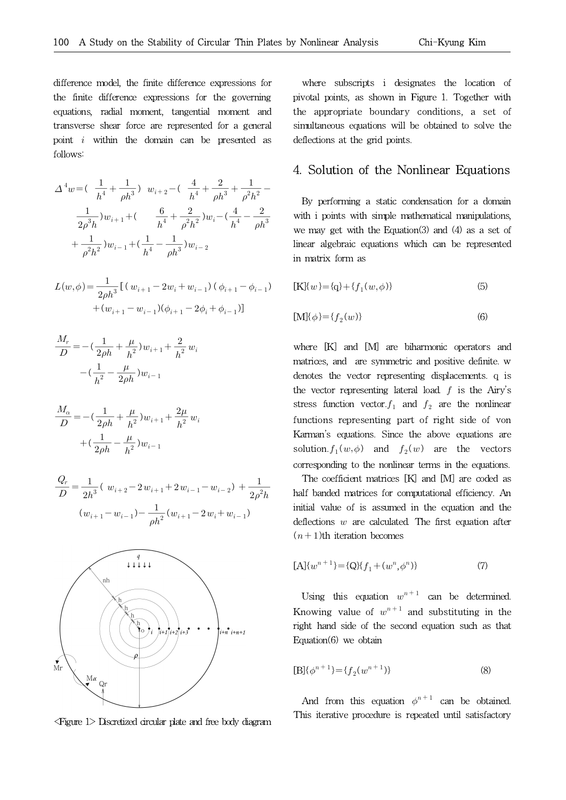difference model, the finite difference expressions for the finite difference expressions for the governing equations, radial moment, tangential moment and transverse shear force are represented for a general point  $i$  within the domain can be presented as follows:

$$
\Delta^{4}w = \left(\frac{1}{h^{4}} + \frac{1}{\rho h^{3}}\right) w_{i+2} - \left(\frac{4}{h^{4}} + \frac{2}{\rho h^{3}} + \frac{1}{\rho^{2}h^{2}} - \frac{1}{2\rho^{3}h}w_{i+1} + \left(\frac{6}{h^{4}} + \frac{2}{\rho^{2}h^{2}}\right)w_{i} - \left(\frac{4}{h^{4}} - \frac{2}{\rho h^{3}}\right)w_{i} \text{ with } i \text{ is } \frac{1}{\rho h^{2}h^{2}}\right)w_{i-1} + \left(\frac{1}{h^{4}} - \frac{1}{\rho h^{3}}\right)w_{i-2} \text{ linear as}
$$
\n
$$
L(w,\phi) = \frac{1}{2\rho h^{3}}\left[\left(w_{i+1} - 2w_{i} + w_{i-1}\right)\left(\phi_{i+1} - \phi_{i-1}\right) - \left[\text{K}\right]\left\{w\right\}\right]
$$
\n
$$
L(w,\phi) = \frac{1}{2\rho h^{3}}\left[\left(w_{i+1} - 2w_{i} + w_{i-1}\right)\left(\phi_{i+1} - \phi_{i-1}\right) - \left[\text{K}\right]\left\{w\right\}\right]
$$

$$
L(w, \phi) = \frac{1}{2\rho h^3} \left[ (w_{i+1} - 2w_i + w_{i-1}) ( \phi_{i+1} - \phi_{i-1}) \right. + (w_{i+1} - w_{i-1}) (\phi_{i+1} - 2\phi_i + \phi_{i-1}) \right]
$$

$$
\frac{M_r}{D} = -\left(\frac{1}{2\rho h} + \frac{\mu}{h^2}\right)w_{i+1} + \frac{2}{h^2}w_i
$$

$$
-\left(\frac{1}{h^2} - \frac{\mu}{2\rho h}\right)w_{i-1}
$$

$$
\frac{M_{\alpha}}{D} = -\left(\frac{1}{2\rho h} + \frac{\mu}{h^2}\right)w_{i+1} + \frac{2\mu}{h^2}w_i
$$

$$
+\left(\frac{1}{2\rho h} - \frac{\mu}{h^2}\right)w_{i-1}
$$

$$
\frac{Q_r}{D} = \frac{1}{2h^3} (w_{i+2} - 2w_{i+1} + 2w_{i-1} - w_{i-2}) + \frac{1}{2\rho^2 h}
$$
h  

$$
(w_{i+1} - w_{i-1}) - \frac{1}{\rho h^2} (w_{i+1} - 2w_i + w_{i-1})
$$
in



<Figure 1> Discretized circular plate and free body diagram

where subscripts i designates the location of pivotal points, as shown in Figure 1. Together with the appropriate boundary conditions, a set of simultaneous equations will be obtained to solve the deflections at the grid points.

#### 4. Solution of the Nonlinear Equations

By performing a static condensation for a domain with i points with simple mathematical manipulations, we may get with the Equation(3) and (4) as a set of linear algebraic equations which can be represented in matrix form as

$$
[K](w) = {q} + {f1(w, \phi)}
$$
\n(5)

$$
[\mathbf{M}]\{\phi\} = \{f_2(w)\}\tag{6}
$$

where [K] and [M] are biharmonic operators and matrices, and are symmetric and positive definite. w denotes the vector representing displacements. q is the vector representing lateral load.  $f$  is the Airy's stress function vector.  $f_1$  and  $f_2$  are the nonlinear functions representing part of right side of von Karman's equations. Since the above equations are solution.  $f_1(w, \phi)$  and  $f_2(w)$  are the vectors corresponding to the nonlinear terms in the equations.

 $h^2$  half banded matrices for computational efficiency. An The coefficient matrices [K] and [M] are coded as initial value of is assumed in the equation and the deflections  $w$  are calculated. The first equation after  $(n+1)$ th iteration becomes

$$
[A]{wn+1} = {Q}{f1 + (wn, \phin)}
$$
\n(7)

Using this equation  $w^{n+1}$  can be determined. Knowing value of  $w^{n+1}$  and substituting in the right hand side of the second equation such as that Equation(6) we obtain

$$
[B] {\phi^{n+1}} = {f_2(w^{n+1})}
$$
 (8)

And from this equation  $\phi^{n+1}$  can be obtained. This iterative procedure is repeated until satisfactory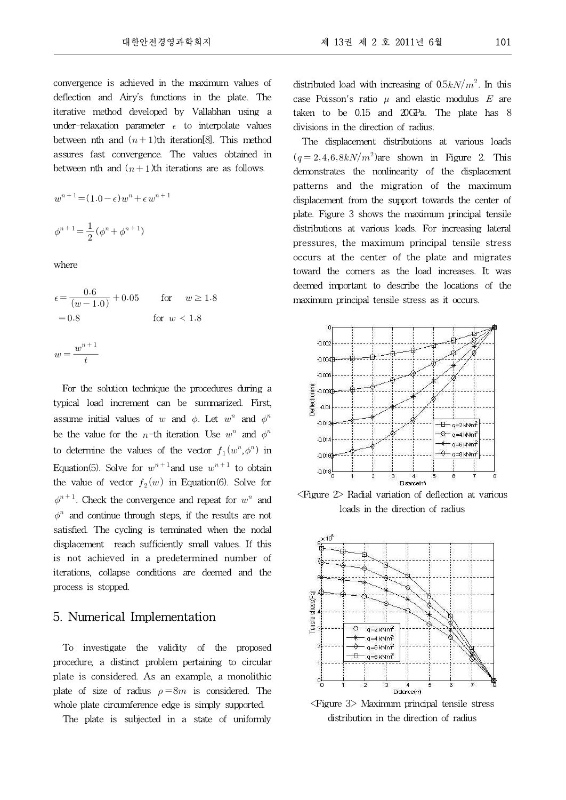convergence is achieved in the maximum values of deflection and Airy's functions in the plate. The iterative method developed by Vallabhan using a under-relaxation parameter  $\epsilon$  to interpolate values between nth and  $(n+1)$ th iteration<sup>[8]</sup>. This method assures fast convergence. The values obtained in between nth and  $(n+1)$ th iterations are as follows.

$$
w^{n+1} = (1 \cdot 0 - \epsilon)w^n + \epsilon w^{n+1}
$$

$$
\phi^{n+1} = \frac{1}{2}(\phi^n + \phi^{n+1})
$$

where

where  
\n
$$
\epsilon = \frac{0.6}{(w - 1.0)} + 0.05 \quad \text{for} \quad w \ge 1.8
$$
\n
$$
= 0.8 \quad \text{for} \quad w < 1.8
$$
\n
$$
w = \frac{w^{n+1}}{t}
$$

For the solution technique the procedures during a typical load increment can be summarized. First, assume initial values of w and  $\phi$ . Let  $w^n$  and  $\phi^n$ be the value for the *n*-th iteration. Use  $w^n$  and  $\phi^n$ to determine the values of the vector  $f_1(w^n, \phi^n)$  in Equation(5). Solve for  $w^{n+1}$  and use  $w^{n+1}$  to obtain the value of vector  $f_2(w)$  in Equation(6). Solve for  $\phi^{n+1}$ . Check the convergence and repeat for  $w^n$  and  $\phi^n$  and continue through steps, if the results are not satisfied. The cycling is terminated when the nodal displacement reach sufficiently small values. If this is not achieved in a predetermined number of iterations, collapse conditions are deemed and the process is stopped.

#### 5. Numerical Implementation

To investigate the validity of the proposed procedure, a distinct problem pertaining to circular plate is considered. As an example, a monolithic plate of size of radius  $\rho = 8m$  is considered. The whole plate circumference edge is simply supported.

The plate is subjected in a state of uniformly

distributed load with increasing of  $0.5kN/m^2$ . In this case Poisson's ratio  $\mu$  and elastic modulus  $E$  are taken to be 0.15 and 20GPa. The plate has 8 divisions in the direction of radius.

The displacement distributions at various loads  $(q=2,4,6,8kN/m^2)$ are shown in Figure 2. This demonstrates the nonlinearity of the displacement patterns and the migration of the maximum displacement from the support towards the center of plate. Figure 3 shows the maximum principal tensile distributions at various loads. For increasing lateral pressures, the maximum principal tensile stress occurs at the center of the plate and migrates toward the corners as the load increases. It was deemed important to describe the locations of the maximum principal tensile stress as it occurs.



<Figure 2> Radial variation of deflection at various loads in the direction of radius



<Figure 3> Maximum principal tensile stress distribution in the direction of radius